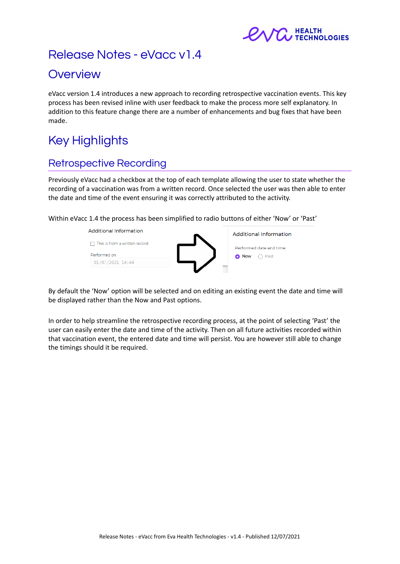

# Release Notes - eVacc v1.4

# **Overview**

eVacc version 1.4 introduces a new approach to recording retrospective vaccination events. This key process has been revised inline with user feedback to make the process more self explanatory. In addition to this feature change there are a number of enhancements and bug fixes that have been made.

# Key Highlights

# Retrospective Recording

Previously eVacc had a checkbox at the top of each template allowing the user to state whether the recording of a vaccination was from a written record. Once selected the user was then able to enter the date and time of the event ensuring it was correctly attributed to the activity.

Within eVacc 1.4 the process has been simplified to radio buttons of either 'Now' or 'Past'



By default the 'Now' option will be selected and on editing an existing event the date and time will be displayed rather than the Now and Past options.

In order to help streamline the retrospective recording process, at the point of selecting 'Past' the user can easily enter the date and time of the activity. Then on all future activities recorded within that vaccination event, the entered date and time will persist. You are however still able to change the timings should it be required.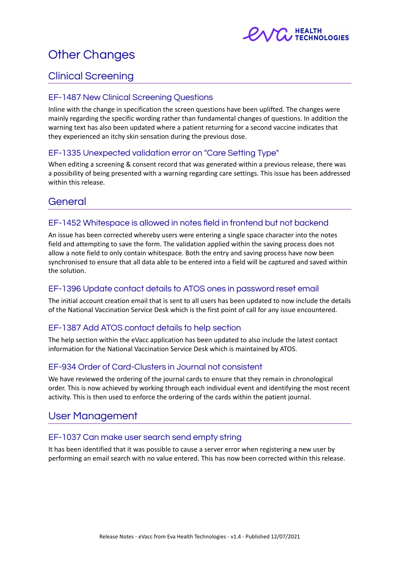

# Other Changes

## Clinical Screening

## EF-1487 New Clinical Screening Questions

Inline with the change in specification the screen questions have been uplifted. The changes were mainly regarding the specific wording rather than fundamental changes of questions. In addition the warning text has also been updated where a patient returning for a second vaccine indicates that they experienced an itchy skin sensation during the previous dose.

### EF-1335 Unexpected validation error on "Care Setting Type"

When editing a screening & consent record that was generated within a previous release, there was a possibility of being presented with a warning regarding care settings. This issue has been addressed within this release.

## General

### EF-1452 Whitespace is allowed in notes field in frontend but not backend

An issue has been corrected whereby users were entering a single space character into the notes field and attempting to save the form. The validation applied within the saving process does not allow a note field to only contain whitespace. Both the entry and saving process have now been synchronised to ensure that all data able to be entered into a field will be captured and saved within the solution.

### EF-1396 Update contact details to ATOS ones in password reset email

The initial account creation email that is sent to all users has been updated to now include the details of the National Vaccination Service Desk which is the first point of call for any issue encountered.

## EF-1387 Add ATOS contact details to help section

The help section within the eVacc application has been updated to also include the latest contact information for the National Vaccination Service Desk which is maintained by ATOS.

### EF-934 Order of Card-Clusters in Journal not consistent

We have reviewed the ordering of the journal cards to ensure that they remain in chronological order. This is now achieved by working through each individual event and identifying the most recent activity. This is then used to enforce the ordering of the cards within the patient journal.

## User Management

### EF-1037 Can make user search send empty string

It has been identified that it was possible to cause a server error when registering a new user by performing an email search with no value entered. This has now been corrected within this release.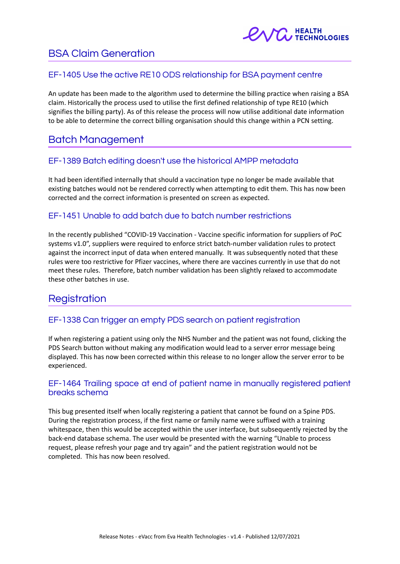

## BSA Claim Generation

## EF-1405 Use the active RE10 ODS relationship for BSA payment centre

An update has been made to the algorithm used to determine the billing practice when raising a BSA claim. Historically the process used to utilise the first defined relationship of type RE10 (which signifies the billing party). As of this release the process will now utilise additional date information to be able to determine the correct billing organisation should this change within a PCN setting.

## Batch Management

### EF-1389 Batch editing doesn't use the historical AMPP metadata

It had been identified internally that should a vaccination type no longer be made available that existing batches would not be rendered correctly when attempting to edit them. This has now been corrected and the correct information is presented on screen as expected.

## EF-1451 Unable to add batch due to batch number restrictions

In the recently published "COVID-19 Vaccination - Vaccine specific information for suppliers of PoC systems v1.0", suppliers were required to enforce strict batch-number validation rules to protect against the incorrect input of data when entered manually. It was subsequently noted that these rules were too restrictive for Pfizer vaccines, where there are vaccines currently in use that do not meet these rules. Therefore, batch number validation has been slightly relaxed to accommodate these other batches in use.

## **Registration**

## EF-1338 Can trigger an empty PDS search on patient registration

If when registering a patient using only the NHS Number and the patient was not found, clicking the PDS Search button without making any modification would lead to a server error message being displayed. This has now been corrected within this release to no longer allow the server error to be experienced.

### EF-1464 Trailing space at end of patient name in manually registered patient breaks schema

This bug presented itself when locally registering a patient that cannot be found on a Spine PDS. During the registration process, if the first name or family name were suffixed with a training whitespace, then this would be accepted within the user interface, but subsequently rejected by the back-end database schema. The user would be presented with the warning "Unable to process request, please refresh your page and try again" and the patient registration would not be completed. This has now been resolved.